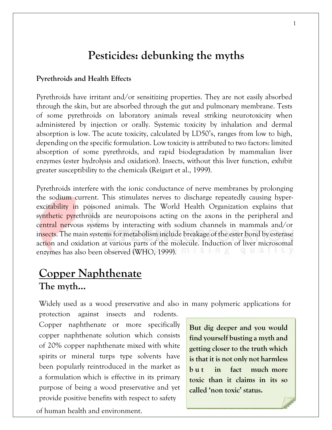# **Pesticides: debunking the myths**

#### **Pyrethroids and Health Effects**

Pyrethroids have irritant and/or sensitizing properties. They are not easily absorbed through the skin, but are absorbed through the gut and pulmonary membrane. Tests of some pyrethroids on laboratory animals reveal striking neurotoxicity when administered by injection or orally. Systemic toxicity by inhalation and dermal absorption is low. The acute toxicity, calculated by LD50's, ranges from low to high, depending on the specific formulation. Low toxicity is attributed to two factors: limited absorption of some pyrethroids, and rapid biodegradation by mammalian liver enzymes (ester hydrolysis and oxidation). Insects, without this liver function, exhibit greater susceptibility to the chemicals (Reigart et al., 1999).

Pyrethroids interfere with the ionic conductance of nerve membranes by prolonging the sodium current. This stimulates nerves to discharge repeatedly causing hyperexcitability in poisoned animals. The World Health Organization explains that synthetic pyrethroids are neuropoisons acting on the axons in the peripheral and central nervous systems by interacting with sodium channels in mammals and/or insects. The main systems for metabolism include breakage of the ester bond by esterase action and oxidation at various parts of the molecule. Induction of liver microsomal enzymes has also been observed (WHO, 1999). FOR ISSES IN SECTION 2ND ISSUED AND THE V

# **Copper Naphthenate The myth…**

Widely used as a wood preservative and also in many polymeric applications for

protection against insects and rodents. Copper naphthenate or more specifically copper naphthenate solution which consists of 20% copper naphthenate mixed with white spirits or mineral turps type solvents have been popularly reintroduced in the market as a formulation which is effective in its primary purpose of being a wood preservative and yet provide positive benefits with respect to safety of human health and environment.

**But dig deeper and you would find yourself busting a myth and getting closer to the truth which is that it is not only not harmless b u t in fact much more toxic than it claims in its so called 'non toxic' status.**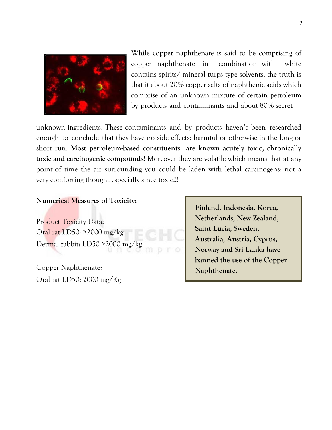

While copper naphthenate is said to be comprising of copper naphthenate in combination with white contains spirits/ mineral turps type solvents, the truth is that it about 20% copper salts of naphthenic acids which comprise of an unknown mixture of certain petroleum by products and contaminants and about 80% secret

unknown ingredients. These contaminants and by products haven't been researched enough to conclude that they have no side effects: harmful or otherwise in the long or short run. **Most petroleum-based constituents are known acutely toxic, chronically toxic and carcinogenic compounds!** Moreover they are volatile which means that at any point of time the air surrounding you could be laden with lethal carcinogens: not a very comforting thought especially since toxic!!!

#### **Numerical Measures of Toxicity:**

Product Toxicity Data: Oral rat LD50: >2000 mg/kg Dermal rabbit: LD50 >2000 mg/kg

Copper Naphthenate: Oral rat LD50: 2000 mg/Kg **Finland, Indonesia, Korea, Netherlands, New Zealand, Saint Lucia, Sweden, Australia, Austria, Cyprus, Norway and Sri Lanka have banned the use of the Copper Naphthenate.**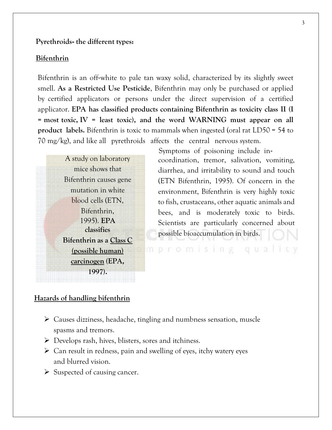#### **Pyrethroids**‐ **the different types:**

#### **Bifenthrin**

Bifenthrin is an off-white to pale tan waxy solid, characterized by its slightly sweet smell. **As a Restricted Use Pesticide**, Bifenthrin may only be purchased or applied by certified applicators or persons under the direct supervision of a certified applicator. **EPA has classified products containing Bifenthrin as toxicity class II (I = most toxic, IV = least toxic), and the word WARNING must appear on all product labels.** Bifenthrin is toxic to mammals when ingested (oral rat LD50 = 54 to 70 mg/kg), and like all pyrethroids affects the central nervous system.

A study on laboratory mice shows that Bifenthrin causes gene mutation in white blood cells (ETN, Bifenthrin, 1995). **EPA classifies Bifenthrin as a Class C (possible human) carcinogen (EPA, 1997).**

 Symptoms of poisoning include in‐ coordination, tremor, salivation, vomiting, diarrhea, and irritability to sound and touch (ETN Bifenthrin, 1995). Of concern in the environment, Bifenthrin is very highly toxic to fish, crustaceans, other aquatic animals and bees, and is moderately toxic to birds. Scientists are particularly concerned about possible bioaccumulation in birds.

mpromising quali

#### **Hazards of handling bifenthrin**

- ➢ Causes dizziness, headache, tingling and numbness sensation, muscle spasms and tremors.
- ➢ Develops rash, hives, blisters, sores and itchiness.
- ➢ Can result in redness, pain and swelling of eyes, itchy watery eyes and blurred vision.
- $\triangleright$  Suspected of causing cancer.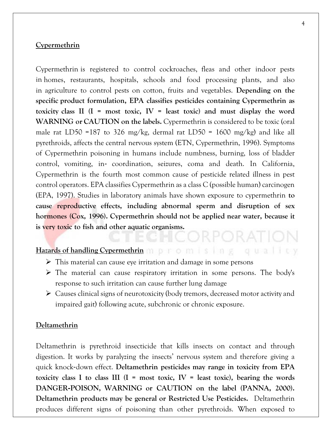#### **Cypermethrin**

Cypermethrin is registered to control cockroaches, fleas and other indoor pests in homes, restaurants, hospitals, schools and food processing plants, and also in agriculture to control pests on cotton, fruits and vegetables. **Depending on the specific product formulation, EPA classifies pesticides containing Cypermethrin as toxicity class II (I = most toxic, IV = least toxic) and must display the word WARNING or CAUTION on the labels.** Cypermethrin is considered to be toxic (oral male rat LD50 =187 to 326 mg/kg, dermal rat LD50 = 1600 mg/kg) and like all pyrethroids, affects the central nervous system (ETN, Cypermethrin, 1996). Symptoms of Cypermethrin poisoning in humans include numbness, burning, loss of bladder control, vomiting, in‐ coordination, seizures, coma and death. In California, Cypermethrin is the fourth most common cause of pesticide related illness in pest control operators. EPA classifies Cypermethrin as a class C (possible human) carcinogen (EPA, 1997). Studies in laboratory animals have shown exposure to cypermethrin **to cause reproductive effects, including abnormal sperm and disruption of sex hormones (Cox, 1996). Cypermethrin should not be applied near water, because it is very toxic to fish and other aquatic organisms.** 

#### Hazards of handling Cypermethrin **promising** qualley

- ➢ This material can cause eye irritation and damage in some persons
- ➢ The material can cause respiratory irritation in some persons. The body's response to such irritation can cause further lung damage
- ➢ Causes clinical signs of neurotoxicity (body tremors, decreased motor activity and impaired gait) following acute, subchronic or chronic exposure.

#### **Deltamethrin**

Deltamethrin is pyrethroid insecticide that kills insects on contact and through digestion. It works by paralyzing the insects' nervous system and therefore giving a quick knock‐down effect. **Deltamethrin pesticides may range in toxicity from EPA toxicity** class I to class III  $(I = \text{most toxic}, IV = \text{least toxic})$ , bearing the words **DANGER**‐**POISON, WARNING or CAUTION on the label (PANNA, 2000). Deltamethrin products may be general or Restricted Use Pesticides.** Deltamethrin produces different signs of poisoning than other pyrethroids. When exposed to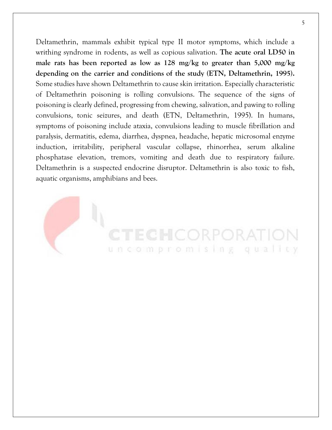Deltamethrin, mammals exhibit typical type II motor symptoms, which include a writhing syndrome in rodents, as well as copious salivation. **The acute oral LD50 in male rats has been reported as low as 128 mg/kg to greater than 5,000 mg/kg depending on the carrier and conditions of the study (ETN, Deltamethrin, 1995).**  Some studies have shown Deltamethrin to cause skin irritation. Especially characteristic of Deltamethrin poisoning is rolling convulsions. The sequence of the signs of poisoning is clearly defined, progressing from chewing, salivation, and pawing to rolling convulsions, tonic seizures, and death (ETN, Deltamethrin, 1995). In humans, symptoms of poisoning include ataxia, convulsions leading to muscle fibrillation and paralysis, dermatitis, edema, diarrhea, dyspnea, headache, hepatic microsomal enzyme induction, irritability, peripheral vascular collapse, rhinorrhea, serum alkaline phosphatase elevation, tremors, vomiting and death due to respiratory failure. Deltamethrin is a suspected endocrine disruptor. Deltamethrin is also toxic to fish, aquatic organisms, amphibians and bees.

TECHCORPORA uncompromising qualley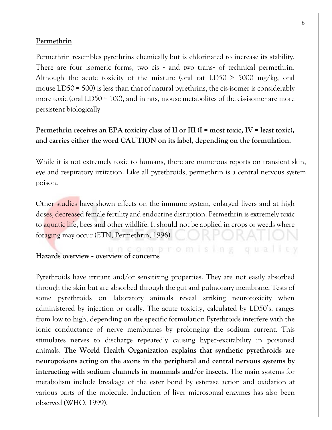#### **Permethrin**

Permethrin resembles pyrethrins chemically but is chlorinated to increase its stability. There are four isomeric forms, two cis - and two trans- of technical permethrin. Although the acute toxicity of the mixture (oral rat LD50  $>$  5000 mg/kg, oral mouse LD50 = 500) is less than that of natural pyrethrins, the cis-isomer is considerably more toxic (oral LD50 = 100), and in rats, mouse metabolites of the cis-isomer are more persistent biologically.

#### **Permethrin receives an EPA toxicity class of II or III (I = most toxic, IV = least toxic), and carries either the word CAUTION on its label, depending on the formulation.**

While it is not extremely toxic to humans, there are numerous reports on transient skin, eye and respiratory irritation. Like all pyrethroids, permethrin is a central nervous system poison.

Other studies have shown effects on the immune system, enlarged livers and at high doses, decreased female fertility and endocrine disruption. Permethrin is extremely toxic to aquatic life, bees and other wildlife. It should not be applied in crops or weeds where foraging may occur (ETN, Permethrin, 1996).

**Hazards overview - overview of concerns** 

Pyrethroids have irritant and/or sensitizing properties. They are not easily absorbed through the skin but are absorbed through the gut and pulmonary membrane. Tests of some pyrethroids on laboratory animals reveal striking neurotoxicity when administered by injection or orally. The acute toxicity, calculated by LD50's, ranges from low to high, depending on the specific formulation Pyrethroids interfere with the ionic conductance of nerve membranes by prolonging the sodium current. This stimulates nerves to discharge repeatedly causing hyper‐excitability in poisoned animals. **The World Health Organization explains that synthetic pyrethroids are neuropoisons acting on the axons in the peripheral and central nervous systems by interacting with sodium channels in mammals and/or insects.** The main systems for metabolism include breakage of the ester bond by esterase action and oxidation at various parts of the molecule. Induction of liver microsomal enzymes has also been observed (WHO, 1999).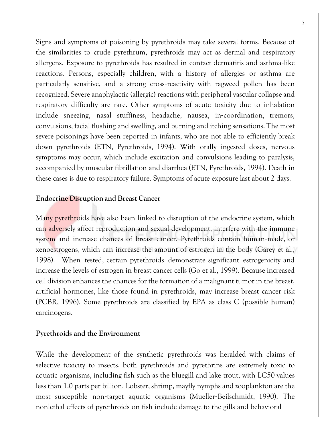Signs and symptoms of poisoning by pyrethroids may take several forms. Because of the similarities to crude pyrethrum, pyrethroids may act as dermal and respiratory allergens. Exposure to pyrethroids has resulted in contact dermatitis and asthma‐like reactions. Persons, especially children, with a history of allergies or asthma are particularly sensitive, and a strong cross‐reactivity with ragweed pollen has been recognized. Severe anaphylactic (allergic) reactions with peripheral vascular collapse and respiratory difficulty are rare. Other symptoms of acute toxicity due to inhalation include sneezing, nasal stuffiness, headache, nausea, in‐coordination, tremors,

convulsions, facial flushing and swelling, and burning and itching sensations. The most severe poisonings have been reported in infants, who are not able to efficiently break down pyrethroids (ETN, Pyrethroids, 1994). With orally ingested doses, nervous symptoms may occur, which include excitation and convulsions leading to paralysis, accompanied by muscular fibrillation and diarrhea (ETN, Pyrethroids, 1994). Death in these cases is due to respiratory failure. Symptoms of acute exposure last about 2 days.

#### **Endocrine Disruption and Breast Cancer**

Many pyrethroids have also been linked to disruption of the endocrine system, which can adversely affect reproduction and sexual development, interfere with the immune system and increase chances of breast cancer. Pyrethroids contain human-made, or xenoestrogens, which can increase the amount of estrogen in the body (Garey et al., 1998). When tested, certain pyrethroids demonstrate significant estrogenicity and increase the levels of estrogen in breast cancer cells (Go et al., 1999). Because increased cell division enhances the chances for the formation of a malignant tumor in the breast, artificial hormones, like those found in pyrethroids, may increase breast cancer risk (PCBR, 1996). Some pyrethroids are classified by EPA as class C (possible human) carcinogens.

#### **Pyrethroids and the Environment**

While the development of the synthetic pyrethroids was heralded with claims of selective toxicity to insects, both pyrethroids and pyrethrins are extremely toxic to aquatic organisms, including fish such as the bluegill and lake trout, with LC50 values less than 1.0 parts per billion. Lobster, shrimp, mayfly nymphs and zooplankton are the most susceptible non‐target aquatic organisms (Mueller‐Beilschmidt, 1990). The nonlethal effects of pyrethroids on fish include damage to the gills and behavioral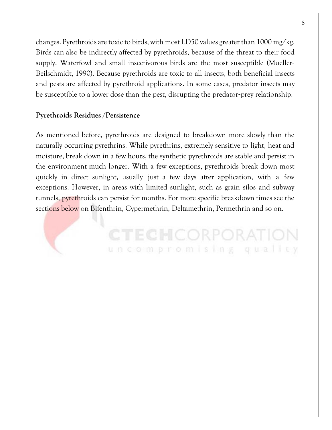changes. Pyrethroids are toxic to birds, with most LD50 values greater than  $1000 \text{ mg/kg}$ . Birds can also be indirectly affected by pyrethroids, because of the threat to their food supply. Waterfowl and small insectivorous birds are the most susceptible (Mueller‐ Beilschmidt, 1990). Because pyrethroids are toxic to all insects, both beneficial insects and pests are affected by pyrethroid applications. In some cases, predator insects may be susceptible to a lower dose than the pest, disrupting the predator‐prey relationship.

#### **Pyrethroids Residues /Persistence**

As mentioned before, pyrethroids are designed to breakdown more slowly than the naturally occurring pyrethrins. While pyrethrins, extremely sensitive to light, heat and moisture, break down in a few hours, the synthetic pyrethroids are stable and persist in the environment much longer. With a few exceptions, pyrethroids break down most quickly in direct sunlight, usually just a few days after application, with a few exceptions. However, in areas with limited sunlight, such as grain silos and subway tunnels, pyrethroids can persist for months. For more specific breakdown times see the sections below on Bifenthrin, Cypermethrin, Deltamethrin, Permethrin and so on.

> **CTECHCORPORAT** uncompromising qualley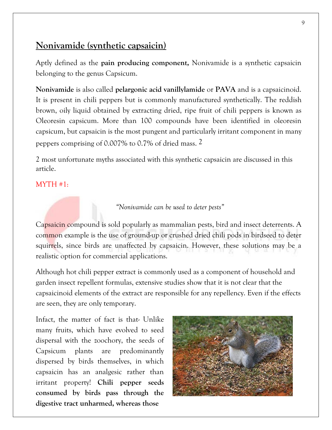# **Nonivamide (synthetic capsaicin)**

Aptly defined as the **pain producing component,** Nonivamide is a synthetic capsaicin belonging to the genus Capsicum.

**Nonivamide** is also called **pelargonic acid vanillylamide** or **PAVA** and is a capsaicinoid. It is present in chili peppers but is commonly manufactured synthetically. The reddish brown, oily liquid obtained by extracting dried, ripe fruit of chili peppers is known as Oleoresin capsicum. More than 100 compounds have been identified in oleoresin capsicum, but capsaicin is the most pungent and particularly irritant component in many peppers comprising of 0.007% to 0.7% of dried mass. 2

2 most unfortunate myths associated with this synthetic capsaicin are discussed in this article.

#### MYTH #1:

*"Nonivamide can be used to deter pests"*

Capsaicin compound is sold popularly as mammalian pests, bird and insect deterrents. A common example is the use of ground-up or crushed dried chili pods in birdseed to deter squirrels, since birds are unaffected by capsaicin. However, these solutions may be a realistic option for commercial applications.

Although hot chili pepper extract is commonly used as a component of household and garden insect repellent formulas, extensive studies show that it is not clear that the capsaicinoid elements of the extract are responsible for any repellency. Even if the effects are seen, they are only temporary.

Infact, the matter of fact is that- Unlike many fruits, which have evolved to seed dispersal with the zoochory, the seeds of Capsicum plants are predominantly dispersed by birds themselves, in which capsaicin has an analgesic rather than irritant property! **Chili pepper seeds consumed by birds pass through the digestive tract unharmed, whereas those** 

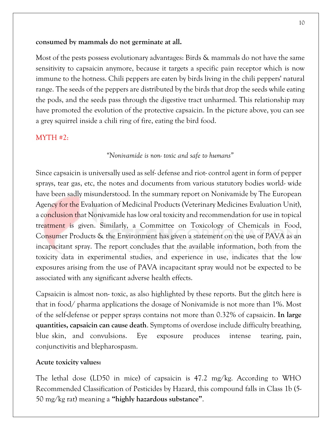#### **consumed by mammals do not germinate at all.**

Most of the pests possess evolutionary advantages: Birds & mammals do not have the same sensitivity to capsaicin anymore, because it targets a specific pain receptor which is now immune to the hotness. Chili peppers are eaten by birds living in the chili peppers' natural range. The seeds of the peppers are distributed by the birds that drop the seeds while eating the pods, and the seeds pass through the digestive tract unharmed. This relationship may have promoted the evolution of the protective capsaicin. In the picture above, you can see a grey squirrel inside a chili ring of fire, eating the bird food.

#### MYTH #2:

#### *"Nonivamide is non- toxic and safe to humans"*

Since capsaicin is universally used as self- defense and riot- control agent in form of pepper sprays, tear gas, etc, the notes and documents from various statutory bodies world- wide have been sadly misunderstood. In the summary report on Nonivamide by The European Agency for the Evaluation of Medicinal Products (Veterinary Medicines Evaluation Unit), a conclusion that Nonivamide has low oral toxicity and recommendation for use in topical treatment is given. Similarly, a Committee on Toxicology of Chemicals in Food, Consumer Products & the Environment has given a statement on the use of PAVA as an incapacitant spray. The report concludes that the available information, both from the toxicity data in experimental studies, and experience in use, indicates that the low exposures arising from the use of PAVA incapacitant spray would not be expected to be associated with any significant adverse health effects.

Capsaicin is almost non- toxic, as also highlighted by these reports. But the glitch here is that in food/ pharma applications the dosage of Nonivamide is not more than 1%. Most of the self-defense or pepper sprays contains not more than 0.32% of capsaicin. **In large quantities, capsaicin can cause death**. Symptoms of overdose include difficulty breathing, blue skin, and convulsions. Eye exposure produces intense tearing, pain, conjunctivitis and blepharospasm.

#### **Acute toxicity values:**

The lethal dose (LD50 in mice) of capsaicin is 47.2 mg/kg. According to WHO Recommended Classification of Pesticides by Hazard, this compound falls in Class 1b (5- 50 mg/kg rat) meaning a **"highly hazardous substance"**.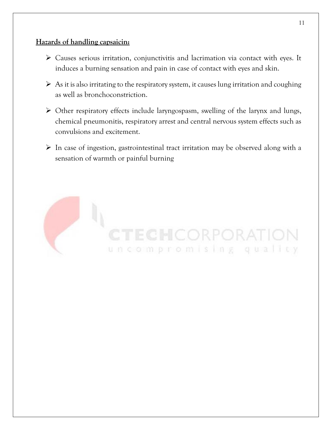#### **Hazards of handling capsaicin:**

- ➢ Causes serious irritation, conjunctivitis and lacrimation via contact with eyes. It induces a burning sensation and pain in case of contact with eyes and skin.
- $\triangleright$  As it is also irritating to the respiratory system, it causes lung irritation and coughing as well as bronchoconstriction.
- ➢ Other respiratory effects include laryngospasm, swelling of the larynx and lungs, chemical pneumonitis, respiratory arrest and central nervous system effects such as convulsions and excitement.
- ➢ In case of ingestion, gastrointestinal tract irritation may be observed along with a sensation of warmth or painful burning

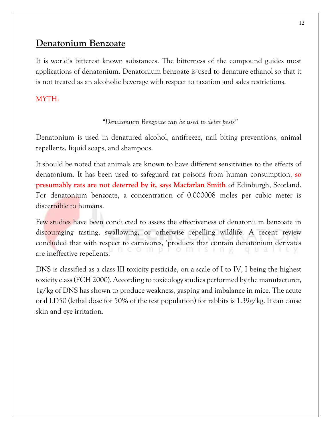# **Denatonium Benzoate**

It is world's bitterest known substances. The bitterness of the compound guides most applications of denatonium. Denatonium benzoate is used to denature ethanol so that it is not treated as an alcoholic beverage with respect to taxation and sales restrictions.

### MYTH:

#### *"Denatonium Benzoate can be used to deter pests"*

Denatonium is used in denatured alcohol, antifreeze, nail biting preventions, animal repellents, liquid soaps, and shampoos.

It should be noted that animals are known to have different sensitivities to the effects of denatonium. It has been used to safeguard rat poisons from human consumption, **so presumably rats are not deterred by it, says Macfarlan Smith** of Edinburgh, Scotland. For denatonium benzoate, a concentration of 0.000008 moles per cubic meter is discernible to humans.

Few studies have been conducted to assess the effectiveness of denatonium benzoate in discouraging tasting, swallowing, or otherwise repelling wildlife. A recent review concluded that with respect to carnivores, 'products that contain denatonium derivates are ineffective repellents.

DNS is classified as a class III toxicity pesticide, on a scale of I to IV, I being the highest toxicity class (FCH 2000). According to toxicology studies performed by the manufacturer, 1g/kg of DNS has shown to produce weakness, gasping and imbalance in mice. The acute oral LD50 (lethal dose for 50% of the test population) for rabbits is 1.39g/kg. It can cause skin and eye irritation.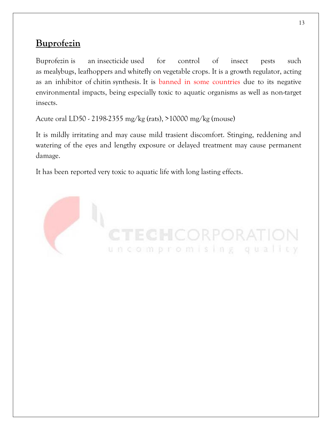# **Buprofezin**

Buprofezin is an insecticide used for control of insect pests such as mealybugs, leafhoppers and whitefly on vegetable crops. It is a growth regulator, acting as an inhibitor of chitin synthesis. It is banned in some countries due to its negative environmental impacts, being especially toxic to aquatic organisms as well as non-target insects.

Acute oral LD50 - 2198-2355 mg/kg (rats), >10000 mg/kg (mouse)

It is mildly irritating and may cause mild trasient discomfort. Stinging, reddening and watering of the eyes and lengthy exposure or delayed treatment may cause permanent damage.

It has been reported very toxic to aquatic life with long lasting effects.

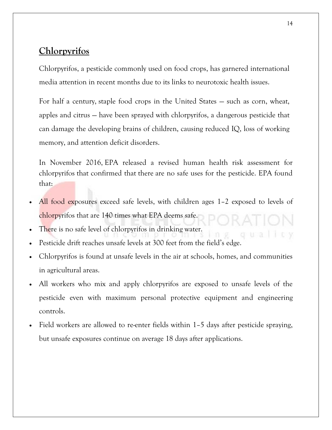# **Chlorpyrifos**

Chlorpyrifos, a pesticide commonly used on food crops, has garnered international media attention in recent months due to its links to neurotoxic health issues.

For half a century, staple food crops in the United States — such as corn, wheat, apples and citrus — have been sprayed with chlorpyrifos, a dangerous pesticide that can damage the developing brains of children, causing reduced IQ, loss of working memory, and attention deficit disorders.

In November 2016, EPA released a revised human health risk assessment for chlorpyrifos that confirmed that there are no safe uses for the pesticide. EPA found that:

- All food exposures exceed safe levels, with children ages 1–2 exposed to levels of chlorpyrifos that are 140 times what EPA deems safe.
- There is no safe level of chlorpyrifos in drinking water.
- Pesticide drift reaches unsafe levels at 300 feet from the field's edge.
- Chlorpyrifos is found at unsafe levels in the air at schools, homes, and communities in agricultural areas.
- All workers who mix and apply chlorpyrifos are exposed to unsafe levels of the pesticide even with maximum personal protective equipment and engineering controls.
- Field workers are allowed to re-enter fields within 1–5 days after pesticide spraying, but unsafe exposures continue on average 18 days after applications.

ou al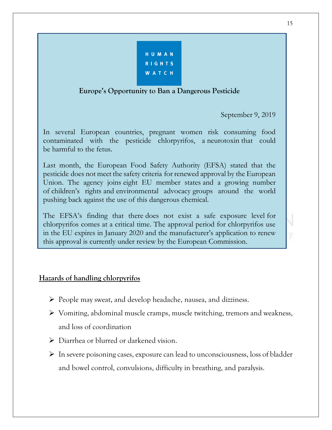| HUMAN         |  |
|---------------|--|
| <b>RIGHTS</b> |  |
| <b>WATCH</b>  |  |

#### **Europe's Opportunity to Ban a Dangerous Pesticide**

September 9, 2019

In several European countries, pregnant women risk consuming food contaminated with the pesticide chlorpyrifos, a neurotoxin that could be harmful to the fetus.

Last month, the European Food Safety Authority (EFSA) stated that the pesticide does not meet the safety criteria for renewed approval by the European Union. The agency joins eight EU member states and a growing number of children's rights and environmental advocacy groups around the world pushing back against the use of this dangerous chemical.

The EFSA's finding that there does not exist a safe exposure level for chlorpyrifos comes at a critical time. The approval period for chlorpyrifos use in the EU expires in January 2020 and the manufacturer's application to renew this approval is currently under review by the European Commission.

#### **Hazards of handling chlorpyrifos**

- ➢ People may sweat, and develop headache, nausea, and dizziness.
- ➢ Vomiting, abdominal muscle cramps, muscle twitching, tremors and weakness, and loss of coordination
- ➢ Diarrhea or blurred or darkened vision.
- ➢ In severe poisoning cases, exposure can lead to unconsciousness, loss of bladder and bowel control, convulsions, difficulty in breathing, and paralysis.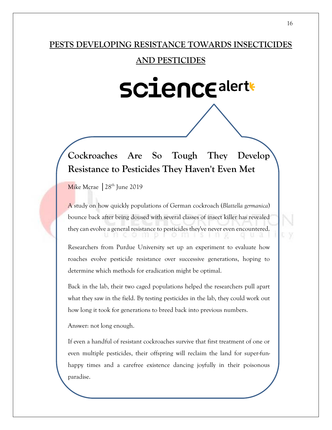#### **PESTS DEVELOPING RESISTANCE TOWARDS INSECTICIDES**

#### **AND PESTICIDES**

# **SCience alert+**

# **Cockroaches Are So Tough They Develop Resistance to Pesticides They Haven't Even Met**

Mike Mcrae │28th June 2019

A study on how quickly populations of German cockroach (*Blattella germanica*) bounce back after being doused with several classes of insect killer has revealed they can evolve a general resistance to pesticides they've never even encountered. un eo 111 promisi

Researchers from Purdue University set up an experiment to evaluate how roaches evolve pesticide resistance over successive generations, hoping to determine which methods for eradication might be optimal.

Back in the lab, their two caged populations helped the researchers pull apart what they saw in the field. By testing pesticides in the lab, they could work out how long it took for generations to breed back into previous numbers.

Answer: not long enough.

If even a handful of resistant cockroaches survive that first treatment of one or even multiple pesticides, their offspring will reclaim the land for super-funhappy times and a carefree existence dancing joyfully in their poisonous paradise.

 $R$  and the spirits a touch, but resistance will always spirits a touch, but resistance will always a touch, but resistance will always a touch, but resistance will always a touch, but resistance will always a touch, but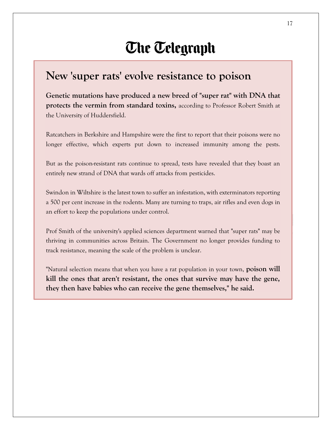# **The Telegraph**

# **New 'super rats' evolve resistance to poison**

**Genetic mutations have produced a new breed of "super rat" with DNA that protects the vermin from standard toxins,** according to Professor Robert Smith at the University of Huddersfield.

Ratcatchers in Berkshire and Hampshire were the first to report that their poisons were no longer effective, which experts put down to increased immunity among the pests.

But as the poison-resistant rats continue to spread, tests have revealed that they boast an entirely new strand of DNA that wards off attacks from pesticides.

Swindon in Wiltshire is the latest town to suffer an infestation, with exterminators reporting a 500 per cent increase in the rodents. Many are turning to traps, air rifles and even dogs in an effort to keep the populations under control.

Prof Smith of the university's applied sciences department warned that "super rats" may be thriving in communities across Britain. The Government no longer provides funding to track resistance, meaning the scale of the problem is unclear.

"Natural selection means that when you have a rat population in your town, **poison will kill the ones that aren't resistant, the ones that survive may have the gene, they then have babies who can receive the gene themselves," he said.**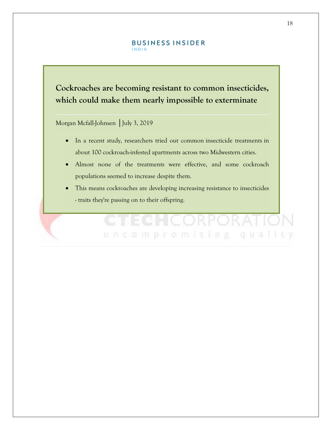#### **BUSINESS INSIDER INDIA**

# **Cockroaches are becoming resistant to common insecticides, which could make them nearly impossible to exterminate**

Morgan Mcfall-Johnsen | July 3, 2019

- In a recent study, researchers tried out common insecticide treatments in about 100 cockroach-infested apartments across two Midwestern cities.
- Almost none of the treatments were effective, and some cockroach populations seemed to increase despite them.
- This means cockroaches are developing increasing resistance to insecticides - traits they're passing on to their offspring.

uncompromising

qua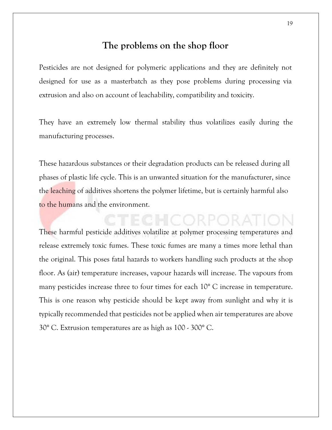#### **The problems on the shop floor**

Pesticides are not designed for polymeric applications and they are definitely not designed for use as a masterbatch as they pose problems during processing via extrusion and also on account of leachability, compatibility and toxicity.

They have an extremely low thermal stability thus volatilizes easily during the manufacturing processes.

These hazardous substances or their degradation products can be released during all phases of plastic life cycle. This is an unwanted situation for the manufacturer, since the leaching of additives shortens the polymer lifetime, but is certainly harmful also to the humans and the environment.

These harmful pesticide additives volatilize at polymer processing temperatures and release extremely toxic fumes. These toxic fumes are many a times more lethal than the original. This poses fatal hazards to workers handling such products at the shop floor. As (air) temperature increases, vapour hazards will increase. The vapours from many pesticides increase three to four times for each 10° C increase in temperature. This is one reason why pesticide should be kept away from sunlight and why it is typically recommended that pesticides not be applied when air temperatures are above 30° C. Extrusion temperatures are as high as 100 - 300° C.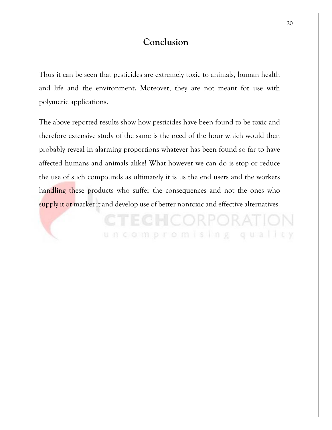## **Conclusion**

Thus it can be seen that pesticides are extremely toxic to animals, human health and life and the environment. Moreover, they are not meant for use with polymeric applications.

The above reported results show how pesticides have been found to be toxic and therefore extensive study of the same is the need of the hour which would then probably reveal in alarming proportions whatever has been found so far to have affected humans and animals alike! What however we can do is stop or reduce the use of such compounds as ultimately it is us the end users and the workers handling these products who suffer the consequences and not the ones who supply it or market it and develop use of better nontoxic and effective alternatives.

**CTECHCORPORATIO** 

uncompromising quality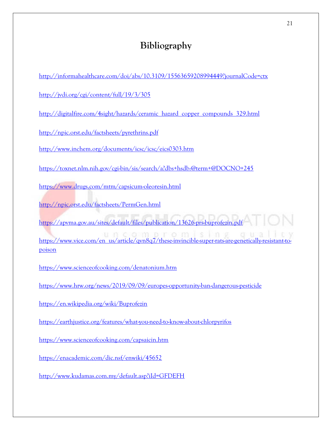# **Bibliography**

| http://informahealthcare.com/doi/abs/10.3109/15563659208994449?journalCode=ctx                                                                                                                 |
|------------------------------------------------------------------------------------------------------------------------------------------------------------------------------------------------|
| http://jvdi.org/cgi/content/full/19/3/305                                                                                                                                                      |
| http://digitalfire.com/4sight/hazards/ceramic hazard copper compounds 329.html                                                                                                                 |
| http://npic.orst.edu/factsheets/pyrethrins.pdf                                                                                                                                                 |
| http://www.inchem.org/documents/icsc/icsc/eics0303.htm                                                                                                                                         |
| https://toxnet.nlm.nih.gov/cgi-bin/sis/search/a?dbs+hsdb:@term+@DOCNO+245                                                                                                                      |
| https://www.drugs.com/mtm/capsicum-oleoresin.html                                                                                                                                              |
| http://npic.orst.edu/factsheets/PermGen.html                                                                                                                                                   |
| https://apyma.gov.au/sites/default/files/publication/13626-prs-buprofezin.pdf<br>https://www.vice.com/en_us/article/qvn8q7/these-invincible-super-rats-are-genetically-resistant-to-<br>poison |
| https://www.scienceofcooking.com/denatonium.htm                                                                                                                                                |
| https://www.hrw.org/news/2019/09/09/europes-opportunity-ban-dangerous-pesticide                                                                                                                |
| https://en.wikipedia.org/wiki/Buprofezin                                                                                                                                                       |
| https://earthjustice.org/features/what-you-need-to-know-about-chlorpyrifos                                                                                                                     |
| https://www.scienceofcooking.com/capsaicin.htm                                                                                                                                                 |
| https://enacademic.com/dic.nsf/enwiki/45652                                                                                                                                                    |
| http://www.kudamas.com.my/default.asp?iId=GFDEFH                                                                                                                                               |
|                                                                                                                                                                                                |